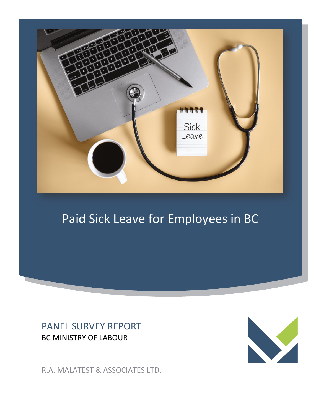

## Paid Sick Leave for Employees in BC

## PANEL SURVEY REPORT BC MINISTRY OF LABOUR



R.A. MALATEST & ASSOCIATES LTD.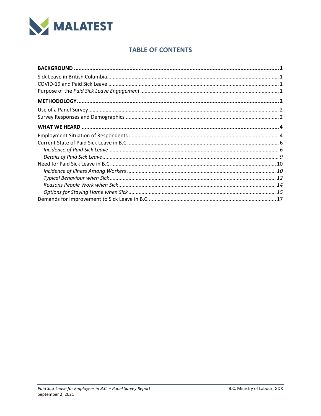

## **TABLE OF CONTENTS**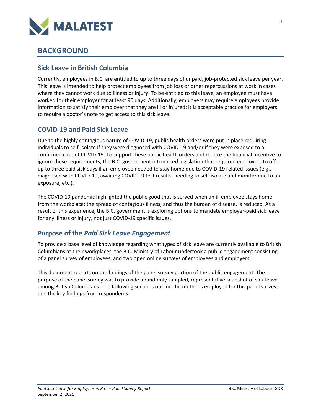

## <span id="page-4-0"></span>**BACKGROUND**

## <span id="page-4-1"></span>**Sick Leave in British Columbia**

Currently, employees in B.C. are entitled to up to three days of unpaid, job-protected sick leave per year. This leave is intended to help protect employees from job loss or other repercussions at work in cases where they cannot work due to illness or injury. To be entitled to this leave, an employee must have worked for their employer for at least 90 days. Additionally, employers may require employees provide information to satisfy their employer that they are ill or injured; it is acceptable practice for employers to require a doctor's note to get access to this sick leave.

## <span id="page-4-2"></span>**COVID-19 and Paid Sick Leave**

Due to the highly contagious nature of COVID-19, public health orders were put in place requiring individuals to self-isolate if they were diagnosed with COVID-19 and/or if they were exposed to a confirmed case of COVID-19. To support these public health orders and reduce the financial incentive to ignore these requirements, the B.C. government introduced legislation that required employers to offer up to three paid sick days if an employee needed to stay home due to COVID-19 related issues (e.g., diagnosed with COVID-19, awaiting COVID-19 test results, needing to self-isolate and monitor due to an exposure, etc.).

The COVID-19 pandemic highlighted the public good that is served when an ill employee stays home from the workplace: the spread of contagious illness, and thus the burden of disease, is reduced. As a result of this experience, the B.C. government is exploring options to mandate employer-paid sick leave for any illness or injury, not just COVID-19 specific issues.

## <span id="page-4-3"></span>**Purpose of the** *Paid Sick Leave Engagement*

To provide a base level of knowledge regarding what types of sick leave are currently available to British Columbians at their workplaces, the B.C. Ministry of Labour undertook a public engagement consisting of a panel survey of employees, and two open online surveys of employees and employers.

This document reports on the findings of the panel survey portion of the public engagement. The purpose of the panel survey was to provide a randomly sampled, representative snapshot of sick leave among British Columbians. The following sections outline the methods employed for this panel survey, and the key findings from respondents.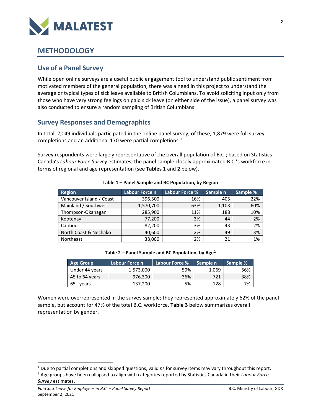

## <span id="page-5-0"></span>**METHODOLOGY**

### <span id="page-5-1"></span>**Use of a Panel Survey**

While open online surveys are a useful public engagement tool to understand public sentiment from motivated members of the general population, there was a need in this project to understand the average or typical types of sick leave available to British Columbians. To avoid soliciting input only from those who have very strong feelings on paid sick leave (on either side of the issue), a panel survey was also conducted to ensure a random sampling of British Columbians

## <span id="page-5-2"></span>**Survey Responses and Demographics**

In total, 2,049 individuals participated in the online panel survey; of these, 1,879 were full survey completions and an additional [1](#page-5-3)70 were partial completions.<sup>1</sup>

Survey respondents were largely representative of the overall population of B.C.; based on Statistics Canada's *Labour Force Survey* estimates, the panel sample closely approximated B.C.'s workforce in terms of regional and age representation (see **Tables 1** and **2** below).

| <b>Region</b>            | Labour Force n | Labour Force % | Sample n | Sample % |
|--------------------------|----------------|----------------|----------|----------|
| Vancouver Island / Coast | 396,500        | 16%            | 405      | 22%      |
| Mainland / Southwest     | 1,570,700      | 63%            | 1,103    | 60%      |
| Thompson-Okanagan        | 285,900        | 11%            | 188      | 10%      |
| Kootenay                 | 77,200         | 3%             | 44       | 2%       |
| Cariboo                  | 82,200         | 3%             | 43       | 2%       |
| North Coast & Nechako    | 40,600         | 2%             | 49       | 3%       |
| Northeast                | 38,000         | 2%             | 21       | 1%       |

**Table 1 – Panel Sample and BC Population, by Region**

**Table 2 – Panel Sample and BC Population, by Age[2](#page-5-4)**

| <b>Age Group</b> | Labour Force n | Labour Force % | Sample n | Sample % |
|------------------|----------------|----------------|----------|----------|
| Under 44 years   | 1,573,000      | 59%            | 1,069    | 56%      |
| 45 to 64 years   | 976,300        | 36%            | 721      | 38%      |
| $65+vears$       | 137.200        | 5%             | 128      | 7%       |

Women were overrepresented in the survey sample; they represented approximately 62% of the panel sample, but account for 47% of the total B.C. workforce. **Table 3** below summarizes overall representation by gender.

<span id="page-5-3"></span><sup>1</sup> Due to partial completions and skipped questions, valid *n*s for survey items may vary throughout this report.

<span id="page-5-4"></span><sup>2</sup> Age groups have been collapsed to align with categories reported by Statistics Canada in their *Labour Force Survey* estimates.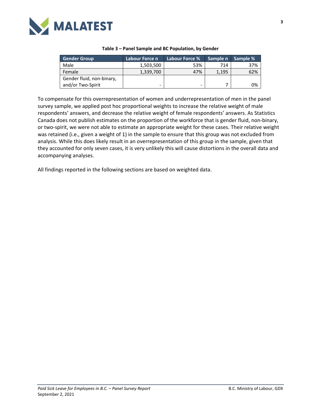

| <b>Gender Group</b>       | Labour Force n | Labour Force % | Sample n | Sample % |
|---------------------------|----------------|----------------|----------|----------|
| Male                      | 1,503,500      | 53%            | 714      | 37%      |
| Female                    | 1,339,700      | 47%            | 1,195    | 62%      |
| Gender fluid, non-binary, |                |                |          |          |
| and/or Two-Spirit         | -              | -              |          | 0%       |

#### **Table 3 – Panel Sample and BC Population, by Gender**

To compensate for this overrepresentation of women and underrepresentation of men in the panel survey sample, we applied post hoc proportional weights to increase the relative weight of male respondents' answers, and decrease the relative weight of female respondents' answers. As Statistics Canada does not publish estimates on the proportion of the workforce that is gender fluid, non-binary, or two-spirit, we were not able to estimate an appropriate weight for these cases. Their relative weight was retained (i.e., given a weight of 1) in the sample to ensure that this group was not excluded from analysis. While this does likely result in an overrepresentation of this group in the sample, given that they accounted for only seven cases, it is very unlikely this will cause distortions in the overall data and accompanying analyses.

All findings reported in the following sections are based on weighted data.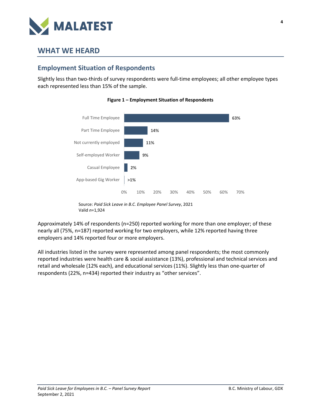

## <span id="page-7-0"></span>**WHAT WE HEARD**

## <span id="page-7-1"></span>**Employment Situation of Respondents**

Slightly less than two-thirds of survey respondents were full-time employees; all other employee types each represented less than 15% of the sample.





Approximately 14% of respondents (n=250) reported working for more than one employer; of these nearly all (75%, n=187) reported working for two employers, while 12% reported having three employers and 14% reported four or more employers.

All industries listed in the survey were represented among panel respondents; the most commonly reported industries were health care & social assistance (13%), professional and technical services and retail and wholesale (12% each), and educational services (11%). Slightly less than one-quarter of respondents (22%, n=434) reported their industry as "other services".

Source: *Paid Sick Leave in B.C. Employee Panel Survey*, 2021 Valid *n*=1,924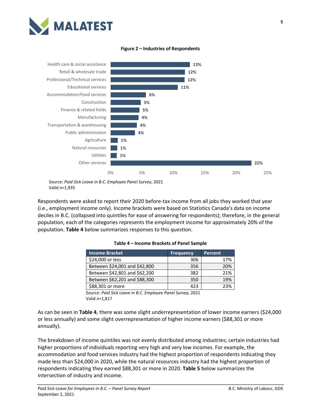



**Figure 2 – Industries of Respondents**

Source: *Paid Sick Leave in B.C. Employee Panel Survey*, 2021 Valid *n*=1,935

Respondents were asked to report their 2020 before-tax income from all jobs they worked that year (i.e., employment income only). Income brackets were based on Statistics Canada's data on income deciles in B.C. (collapsed into quintiles for ease of answering for respondents); therefore, in the general population, each of the categories represents the employment income for approximately 20% of the population. **Table 4** below summarizes responses to this question.

| <b>Income Bracket</b>         | <b>Frequency</b> | <b>Percent</b> |
|-------------------------------|------------------|----------------|
| \$24,000 or less              | 306              | 17%            |
| Between \$24,001 and \$42,800 | 356              | 20%            |
| Between \$42,801 and \$62,200 | 382              | 21%            |
| Between \$62,201 and \$88,300 | 350              | 19%            |
| \$88,301 or more              | 423              | 23%            |

| Table 4 – Income Brackets of Panel Sample |  |  |  |
|-------------------------------------------|--|--|--|
|-------------------------------------------|--|--|--|

Source: *Paid Sick Leave in B.C. Employee Panel Survey*, 2021 Valid *n*=1,817

As can be seen in **Table 4**, there was some slight underrepresentation of lower income earners (\$24,000 or less annually) and some slight overrepresentation of higher income earners (\$88,301 or more annually).

The breakdown of income quintiles was not evenly distributed among industries; certain industries had higher proportions of individuals reporting very high and very low incomes. For example, the accommodation and food services industry had the highest proportion of respondents indicating they made less than \$24,000 in 2020, while the natural resources industry had the highest proportion of respondents indicating they earned \$88,301 or more in 2020. **Table 5** below summarizes the intersection of industry and income.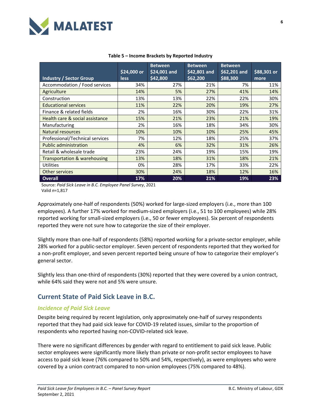

|                                 | \$24,000 or | <b>Between</b><br>\$24,001 and | <b>Between</b><br>\$42,801 and | <b>Between</b><br>\$62,201 and | \$88,301 or |
|---------------------------------|-------------|--------------------------------|--------------------------------|--------------------------------|-------------|
| <b>Industry / Sector Group</b>  | <b>less</b> | \$42,800                       | \$62,200                       | \$88,300                       | more        |
| Accommodation / Food services   | 34%         | 27%                            | 21%                            | 7%                             | 11%         |
| Agriculture                     | 14%         | 5%                             | 27%                            | 41%                            | 14%         |
| Construction                    | 13%         | 13%                            | 22%                            | 22%                            | 30%         |
| <b>Educational services</b>     | 11%         | 22%                            | 20%                            | 19%                            | 27%         |
| Finance & related fields        | 2%          | 16%                            | 30%                            | 22%                            | 31%         |
| Health care & social assistance | 15%         | 21%                            | 23%                            | 21%                            | 19%         |
| Manufacturing                   | 2%          | 16%                            | 18%                            | 34%                            | 30%         |
| <b>Natural resources</b>        | 10%         | 10%                            | 10%                            | 25%                            | 45%         |
| Professional/Technical services | 7%          | 12%                            | 18%                            | 25%                            | 37%         |
| <b>Public administration</b>    | 4%          | 6%                             | 32%                            | 31%                            | 26%         |
| Retail & wholesale trade        | 23%         | 24%                            | 19%                            | 15%                            | 19%         |
| Transportation & warehousing    | 13%         | 18%                            | 31%                            | 18%                            | 21%         |
| Utilities                       | 0%          | 28%                            | 17%                            | 33%                            | 22%         |
| <b>Other services</b>           | 30%         | 24%                            | 18%                            | 12%                            | 16%         |
| <b>Overall</b>                  | 17%         | 20%                            | 21%                            | 19%                            | 23%         |

#### **Table 5 – Income Brackets by Reported Industry**

Source: *Paid Sick Leave in B.C. Employee Panel Survey*, 2021 Valid *n*=1,817

Approximately one-half of respondents (50%) worked for large-sized employers (i.e., more than 100 employees). A further 17% worked for medium-sized employers (i.e., 51 to 100 employees) while 28% reported working for small-sized employers (i.e., 50 or fewer employees). Six percent of respondents reported they were not sure how to categorize the size of their employer.

Slightly more than one-half of respondents (58%) reported working for a private-sector employer, while 28% worked for a public-sector employer. Seven percent of respondents reported that they worked for a non-profit employer, and seven percent reported being unsure of how to categorize their employer's general sector.

Slightly less than one-third of respondents (30%) reported that they were covered by a union contract, while 64% said they were not and 5% were unsure.

## <span id="page-9-0"></span>**Current State of Paid Sick Leave in B.C.**

#### <span id="page-9-1"></span>*Incidence of Paid Sick Leave*

Despite being required by recent legislation, only approximately one-half of survey respondents reported that they had paid sick leave for COVID-19 related issues, similar to the proportion of respondents who reported having non-COVID-related sick leave.

There were no significant differences by gender with regard to entitlement to paid sick leave. Public sector employees were significantly more likely than private or non-profit sector employees to have access to paid sick leave (76% compared to 50% and 54%, respectively), as were employees who were covered by a union contract compared to non-union employees (75% compared to 48%).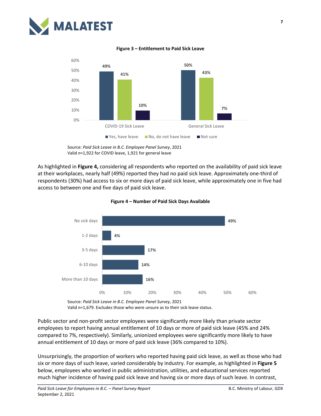

60%

# **Figure 3 – Entitlement to Paid Sick Leave**



Source: *Paid Sick Leave in B.C. Employee Panel Survey*, 2021 Valid *n*=1,922 for COVID leave, 1,921 for general leave

As highlighted in **Figure 4,** considering all respondents who reported on the availability of paid sick leave at their workplaces, nearly half (49%) reported they had no paid sick leave. Approximately one-third of respondents (30%) had access to six or more days of paid sick leave, while approximately one in five had access to between one and five days of paid sick leave.





Source: *Paid Sick Leave in B.C. Employee Panel Survey*, 2021 Valid *n*=1,679. Excludes those who were unsure as to their sick leave status.

Public sector and non-profit sector employees were significantly more likely than private sector employees to report having annual entitlement of 10 days or more of paid sick leave (45% and 24% compared to 7%, respectively). Similarly, unionized employees were significantly more likely to have annual entitlement of 10 days or more of paid sick leave (36% compared to 10%).

Unsurprisingly, the proportion of workers who reported having paid sick leave, as well as those who had six or more days of such leave, varied considerably by industry. For example, as highlighted in **Figure 5** below, employees who worked in public administration, utilities, and educational services reported much higher incidence of having paid sick leave and having six or more days of such leave. In contrast,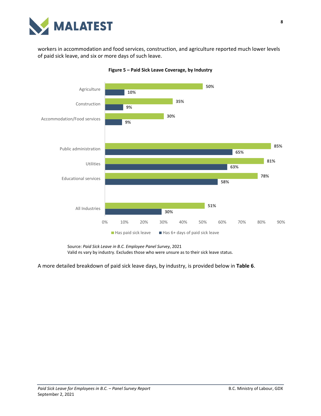

workers in accommodation and food services, construction, and agriculture reported much lower levels of paid sick leave, and six or more days of such leave.



**Figure 5 – Paid Sick Leave Coverage, by Industry**

Source: *Paid Sick Leave in B.C. Employee Panel Survey*, 2021

Valid *n*s vary by industry. Excludes those who were unsure as to their sick leave status.

A more detailed breakdown of paid sick leave days, by industry, is provided below in **Table 6**.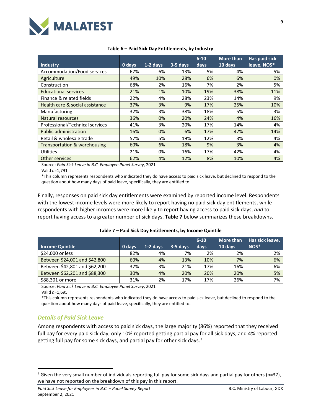

| <b>Industry</b>                 | 0 days | 1-2 days | $3-5$ days | $6 - 10$<br>days | <b>More than</b><br>10 days | Has paid sick<br>leave, NOS* |
|---------------------------------|--------|----------|------------|------------------|-----------------------------|------------------------------|
| Accommodation/Food services     | 67%    | 6%       | 13%        | 5%               | 4%                          | 5%                           |
| Agriculture                     | 49%    | 10%      | 28%        | 6%               | 6%                          | 0%                           |
| Construction                    | 68%    | 2%       | 16%        | 7%               | 2%                          | 5%                           |
| <b>Educational services</b>     | 21%    | 1%       | 10%        | 19%              | 38%                         | 11%                          |
| Finance & related fields        | 22%    | 4%       | 28%        | 23%              | 14%                         | 9%                           |
| Health care & social assistance | 37%    | 3%       | 9%         | 17%              | 25%                         | 10%                          |
| Manufacturing                   | 32%    | 3%       | 38%        | 18%              | 5%                          | 3%                           |
| <b>Natural resources</b>        | 36%    | 0%       | 20%        | 24%              | 4%                          | 16%                          |
| Professional/Technical services | 41%    | 3%       | 20%        | 17%              | 14%                         | 4%                           |
| <b>Public administration</b>    | 16%    | 0%       | 6%         | 17%              | 47%                         | 14%                          |
| Retail & wholesale trade        | 57%    | 5%       | 19%        | 12%              | 3%                          | 4%                           |
| Transportation & warehousing    | 60%    | 6%       | 18%        | 9%               | 3%                          | 4%                           |
| <b>Utilities</b>                | 21%    | 0%       | 16%        | 17%              | 42%                         | 4%                           |
| Other services                  | 62%    | 4%       | 12%        | 8%               | 10%                         | 4%                           |

#### **Table 6 – Paid Sick Day Entitlements, by Industry**

Source: *Paid Sick Leave in B.C. Employee Panel Survey*, 2021

Valid *n*=1,791

\*This column represents respondents who indicated they do have access to paid sick leave, but declined to respond to the question about how many days of paid leave, specifically, they are entitled to.

Finally, responses on paid sick day entitlements were examined by reported income level. Respondents with the lowest income levels were more likely to report having no paid sick day entitlements, while respondents with higher incomes were more likely to report having access to paid sick days, *and* to report having access to a greater number of sick days. **Table 7** below summarizes these breakdowns.

| <b>Income Quintile</b>        | 0 days | 1-2 davs | 3-5 days | $6 - 10$<br>days | More than<br>10 days | Has sick leave,<br>$NOS*$ |
|-------------------------------|--------|----------|----------|------------------|----------------------|---------------------------|
|                               |        |          |          |                  |                      |                           |
| \$24,000 or less              | 82%    | 4%       | 7%       | 2%               | 2%                   | 2%                        |
| Between \$24,001 and \$42,800 | 60%    | 4%       | 13%      | 10%              | 7%                   | 6%                        |
| Between \$42,801 and \$62,200 | 37%    | 3%       | 21%      | 17%              | 16%                  | 6%                        |
| Between \$62,201 and \$88,300 | 30%    | 4%       | 20%      | 20%              | 20%                  | 5%                        |
| \$88,301 or more              | 31%    | 2%       | 17%      | 17%              | 26%                  | 7%                        |

#### **Table 7 – Paid Sick Day Entitlements, by Income Quintile**

Source: *Paid Sick Leave in B.C. Employee Panel Survey*, 2021

Valid *n*=1,695

\*This column represents respondents who indicated they do have access to paid sick leave, but declined to respond to the question about how many days of paid leave, specifically, they are entitled to.

#### <span id="page-12-0"></span>*Details of Paid Sick Leave*

Among respondents with access to paid sick days, the large majority (86%) reported that they received full pay for every paid sick day; only 10% reported getting partial pay for all sick days, and 4% reported getting full pay for some sick days, and partial pay for other sick days. $3$ 

<span id="page-12-1"></span><sup>&</sup>lt;sup>3</sup> Given the very small number of individuals reporting full pay for some sick days and partial pay for others (n=37), we have not reported on the breakdown of this pay in this report.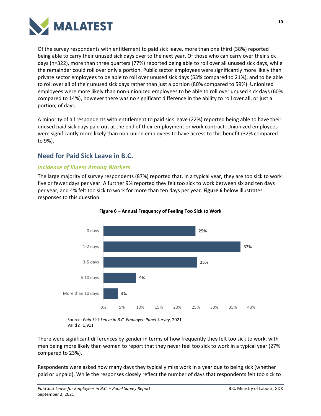

Of the survey respondents with entitlement to paid sick leave, more than one third (38%) reported being able to carry their unused sick days over to the next year. Of those who can carry over their sick days (n=322), more than three quarters (77%) reported being able to roll over all unused sick days, while the remainder could roll over only a portion. Public sector employees were significantly more likely than private sector employees to be able to roll over unused sick days (53% compared to 21%), and to be able to roll over all of their unused sick days rather than just a portion (80% compared to 59%). Unionized employees were more likely than non-unionized employees to be able to roll over unused sick days (60% compared to 14%), however there was no significant difference in the ability to roll over all, or just a portion, of days.

A minority of all respondents with entitlement to paid sick leave (22%) reported being able to have their unused paid sick days paid out at the end of their employment or work contract. Unionized employees were significantly more likely than non-union employees to have access to this benefit (32% compared to 9%).

## <span id="page-13-0"></span>**Need for Paid Sick Leave in B.C.**

#### <span id="page-13-1"></span>*Incidence of Illness Among Workers*

The large majority of survey respondents (87%) reported that, in a typical year, they are too sick to work five or fewer days per year. A further 9% reported they felt too sick to work between six and ten days per year, and 4% felt too sick to work for more than ten days per year. **Figure 6** below illustrates responses to this question.





Source: *Paid Sick Leave in B.C. Employee Panel Survey*, 2021 Valid *n*=1,911

There were significant differences by gender in terms of how frequently they felt too sick to work, with men being more likely than women to report that they never feel too sick to work in a typical year (27% compared to 23%).

Respondents were asked how many days they typically miss work in a year due to being sick (whether paid or unpaid). While the responses closely reflect the number of days that respondents felt too sick to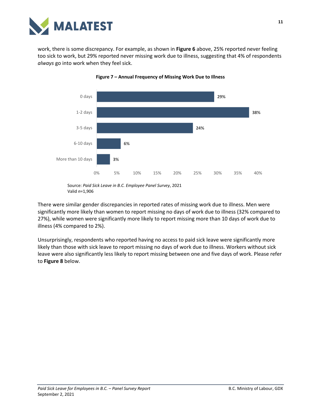

work, there is some discrepancy. For example, as shown in **Figure 6** above, 25% reported never feeling too sick to work, but 29% reported never missing work due to illness, suggesting that 4% of respondents *always* go into work when they feel sick.





There were similar gender discrepancies in reported rates of missing work due to illness. Men were significantly more likely than women to report missing no days of work due to illness (32% compared to 27%), while women were significantly more likely to report missing more than 10 days of work due to illness (4% compared to 2%).

Unsurprisingly, respondents who reported having no access to paid sick leave were significantly more likely than those with sick leave to report missing no days of work due to illness. Workers without sick leave were also significantly less likely to report missing between one and five days of work. Please refer to **Figure 8** below.

Source: *Paid Sick Leave in B.C. Employee Panel Survey*, 2021 Valid *n*=1,906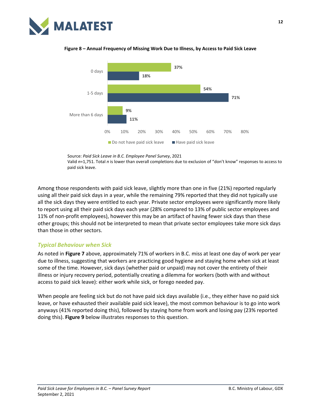

## **11% 71% 18% 9% 54% 37%** 0% 10% 20% 30% 40% 50% 60% 70% 80% More than 6 days 1-5 days 0 days  $\Box$  Do not have paid sick leave  $\Box$  Have paid sick leave



Valid *n*=1,751. Total *n* is lower than overall completions due to exclusion of "don't know" responses to access to paid sick leave.

Among those respondents with paid sick leave, slightly more than one in five (21%) reported regularly using all their paid sick days in a year, while the remaining 79% reported that they did not typically use all the sick days they were entitled to each year. Private sector employees were significantly more likely to report using all their paid sick days each year (28% compared to 13% of public sector employees and 11% of non-profit employees), however this may be an artifact of having fewer sick days than these other groups; this should not be interpreted to mean that private sector employees take more sick days than those in other sectors.

#### <span id="page-15-0"></span>*Typical Behaviour when Sick*

As noted in **Figure 7** above, approximately 71% of workers in B.C. miss at least one day of work per year due to illness, suggesting that workers are practicing good hygiene and staying home when sick at least some of the time. However, sick days (whether paid or unpaid) may not cover the entirety of their illness or injury recovery period, potentially creating a dilemma for workers (both with and without access to paid sick leave): either work while sick, or forego needed pay.

When people are feeling sick but do not have paid sick days available (i.e., they either have no paid sick leave, or have exhausted their available paid sick leave), the most common behaviour is to go into work anyways (41% reported doing this), followed by staying home from work and losing pay (23% reported doing this). **Figure 9** below illustrates responses to this question.

Source: *Paid Sick Leave in B.C. Employee Panel Survey*, 2021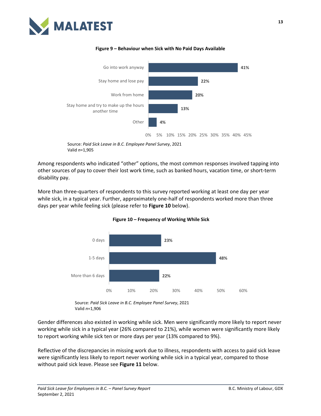



#### **Figure 9 – Behaviour when Sick with No Paid Days Available**

Source: *Paid Sick Leave in B.C. Employee Panel Survey*, 2021 Valid *n*=1,905

Among respondents who indicated "other" options, the most common responses involved tapping into other sources of pay to cover their lost work time, such as banked hours, vacation time, or short-term disability pay.

More than three-quarters of respondents to this survey reported working at least one day per year while sick, in a typical year. Further, approximately one-half of respondents worked more than three days per year while feeling sick (please refer to **Figure 10** below).



**Figure 10 – Frequency of Working While Sick**

Source: *Paid Sick Leave in B.C. Employee Panel Survey*, 2021 Valid *n*=1,906

Gender differences also existed in working while sick. Men were significantly more likely to report never working while sick in a typical year (26% compared to 21%), while women were significantly more likely to report working while sick ten or more days per year (13% compared to 9%).

Reflective of the discrepancies in missing work due to illness, respondents with access to paid sick leave were significantly less likely to report never working while sick in a typical year, compared to those without paid sick leave. Please see **Figure 11** below.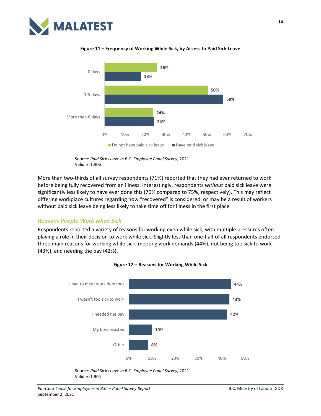



**Figure 11 – Frequency of Working While Sick, by Access to Paid Sick Leave**

More than two-thirds of all survey respondents (71%) reported that they had ever returned to work before being fully recovered from an illness. Interestingly, respondents *without* paid sick leave were significantly less likely to have ever done this (70% compared to 75%, respectively). This may reflect differing workplace cultures regarding how "recovered" is considered, or may be a result of workers without paid sick leave being less likely to take time off for illness in the first place.

#### <span id="page-17-0"></span>*Reasons People Work when Sick*

Respondents reported a variety of reasons for working even while sick, with multiple pressures often playing a role in their decision to work while sick. Slightly less than one-half of all respondents endorsed three main reasons for working while sick: meeting work demands (44%), not being too sick to work (43%), and needing the pay (42%).





Source: *Paid Sick Leave in B.C. Employee Panel Survey*, 2021 Valid *n*=1,906

Source: *Paid Sick Leave in B.C. Employee Panel Survey*, 2021 Valid *n*=1,904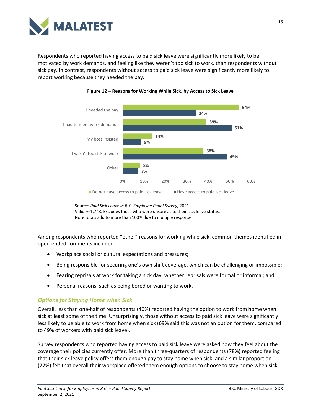

Respondents who reported having access to paid sick leave were significantly more likely to be motivated by work demands, and feeling like they weren't too sick to work, than respondents without sick pay. In contrast, respondents without access to paid sick leave were significantly more likely to report working because they needed the pay.



#### **Figure 12 – Reasons for Working While Sick, by Access to Sick Leave**

Source: *Paid Sick Leave in B.C. Employee Panel Survey*, 2021 Valid *n*=1,748. Excludes those who were unsure as to their sick leave status. Note totals add to more than 100% due to multiple response.

Among respondents who reported "other" reasons for working while sick, common themes identified in open-ended comments included:

- Workplace social or cultural expectations and pressures;
- Being responsible for securing one's own shift coverage, which can be challenging or impossible;
- Fearing reprisals at work for taking a sick day, whether reprisals were formal or informal; and
- Personal reasons, such as being bored or wanting to work.

#### <span id="page-18-0"></span>*Options for Staying Home when Sick*

Overall, less than one-half of respondents (40%) reported having the option to work from home when sick at least some of the time. Unsurprisingly, those without access to paid sick leave were significantly less likely to be able to work from home when sick (69% said this was not an option for them, compared to 49% of workers with paid sick leave).

Survey respondents who reported having access to paid sick leave were asked how they feel about the coverage their policies currently offer. More than three-quarters of respondents (78%) reported feeling that their sick leave policy offers them enough pay to stay home when sick, and a similar proportion (77%) felt that overall their workplace offered them enough options to choose to stay home when sick.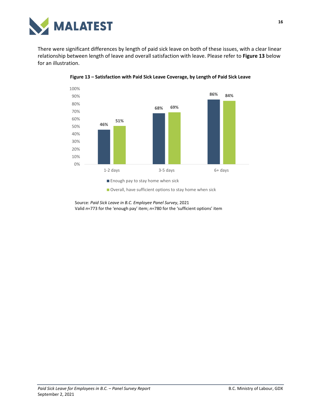

There were significant differences by length of paid sick leave on both of these issues, with a clear linear relationship between length of leave and overall satisfaction with leave. Please refer to **Figure 13** below for an illustration.



**Figure 13 – Satisfaction with Paid Sick Leave Coverage, by Length of Paid Sick Leave**

Overall, have sufficient options to stay home when sick

Source: *Paid Sick Leave in B.C. Employee Panel Survey*, 2021 Valid *n*=773 for the 'enough pay' item; *n*=780 for the 'sufficient options' item